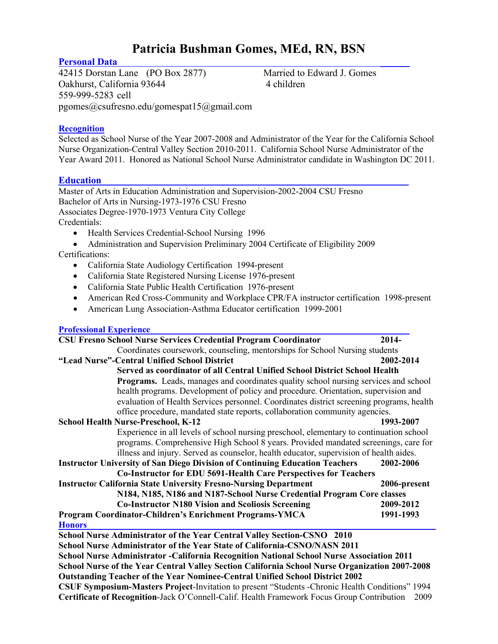# **Patricia Bushman Gomes, MEd, RN, BSN**

**Personal Data**<br>
42415 Dorstan Lane (PO Box 2877) Married to Edward J. Gomes 42415 Dorstan Lane (PO Box 2877) Oakhurst, California 93644 4 children 559-999-5283 cell pgomes@csufresno.edu/gomespat15@gmail.com

## **Recognition**

Selected as School Nurse of the Year 2007-2008 and Administrator of the Year for the California School Nurse Organization-Central Valley Section 2010-2011. California School Nurse Administrator of the Year Award 2011. Honored as National School Nurse Administrator candidate in Washington DC 2011.

# **Education**\_\_\_\_\_\_\_\_\_\_\_\_\_\_\_\_\_\_\_\_\_\_\_\_\_\_\_\_\_\_\_\_\_\_\_\_\_\_\_\_\_\_\_\_\_\_\_\_\_\_\_\_\_\_\_\_\_\_\_\_\_\_\_

Master of Arts in Education Administration and Supervision-2002-2004 CSU Fresno Bachelor of Arts in Nursing-1973-1976 CSU Fresno Associates Degree-1970-1973 Ventura City College Credentials:

- Health Services Credential-School Nursing 1996
- Administration and Supervision Preliminary 2004 Certificate of Eligibility 2009 Certifications:
	- California State Audiology Certification 1994-present
	- California State Registered Nursing License 1976-present
	- California State Public Health Certification 1976-present
	- American Red Cross-Community and Workplace CPR/FA instructor certification 1998-present
	- American Lung Association-Asthma Educator certification 1999-2001

### **Professional Experience**

| <b>CSU Fresno School Nurse Services Credential Program Coordinator</b>                          | 2014-        |  |
|-------------------------------------------------------------------------------------------------|--------------|--|
| Coordinates coursework, counseling, mentorships for School Nursing students                     |              |  |
| "Lead Nurse"-Central Unified School District                                                    | 2002-2014    |  |
| Served as coordinator of all Central Unified School District School Health                      |              |  |
| <b>Programs.</b> Leads, manages and coordinates quality school nursing services and school      |              |  |
| health programs. Development of policy and procedure. Orientation, supervision and              |              |  |
| evaluation of Health Services personnel. Coordinates district screening programs, health        |              |  |
| office procedure, mandated state reports, collaboration community agencies.                     |              |  |
| <b>School Health Nurse-Preschool, K-12</b>                                                      | 1993-2007    |  |
| Experience in all levels of school nursing preschool, elementary to continuation school         |              |  |
| programs. Comprehensive High School 8 years. Provided mandated screenings, care for             |              |  |
| illness and injury. Served as counselor, health educator, supervision of health aides.          |              |  |
| <b>Instructor University of San Diego Division of Continuing Education Teachers</b>             | 2002-2006    |  |
| Co-Instructor for EDU 5691-Health Care Perspectives for Teachers                                |              |  |
| <b>Instructor California State University Fresno-Nursing Department</b>                         | 2006-present |  |
| N184, N185, N186 and N187-School Nurse Credential Program Core classes                          |              |  |
| <b>Co-Instructor N180 Vision and Scoliosis Screening</b>                                        | 2009-2012    |  |
| Program Coordinator-Children's Enrichment Programs-YMCA                                         | 1991-1993    |  |
| <b>Honors</b>                                                                                   |              |  |
| School Nurse Administrator of the Year Central Valley Section-CSNO 2010                         |              |  |
| School Nurse Administrator of the Year State of California-CSNO/NASN 2011                       |              |  |
| School Nurse Administrator - California Recognition National School Nurse Association 2011      |              |  |
| School Nurse of the Year Central Valley Section California School Nurse Organization 2007-2008  |              |  |
| <b>Outstanding Teacher of the Year Nominee-Central Unified School District 2002</b>             |              |  |
| CSUF Symposium-Masters Project-Invitation to present "Students -Chronic Health Conditions" 1994 |              |  |
| Certificate of Recognition-Jack O'Connell-Calif. Health Framework Focus Group Contribution      | 2009         |  |